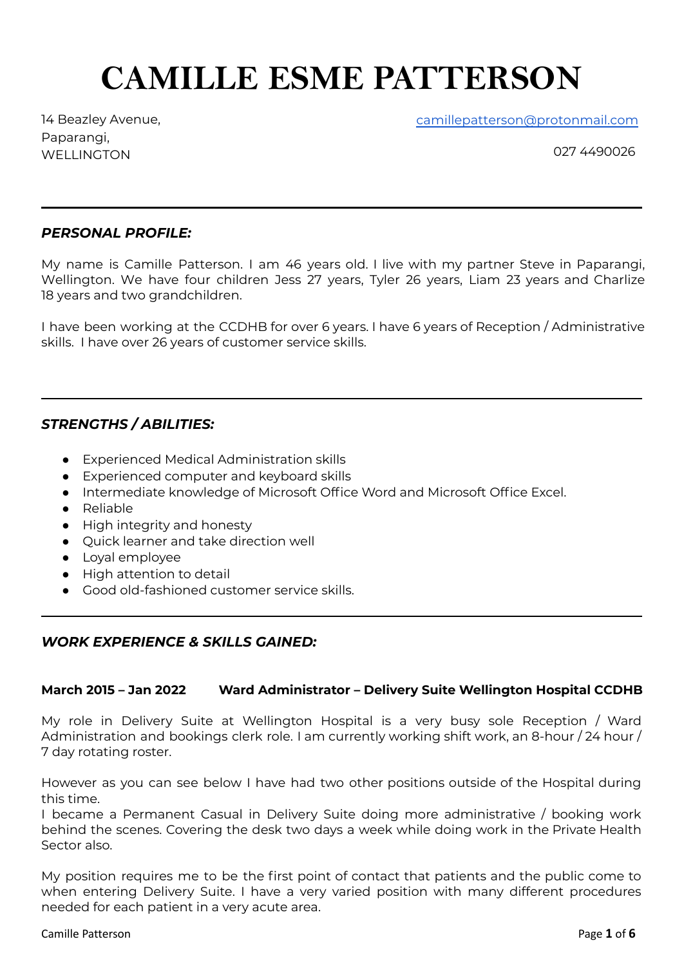# **CAMILLE ESME PATTERSON**

14 Beazley Avenue, Paparangi, WELLINGTON

camillepatterson@protonmail.com

## *PERSONAL PROFILE:*

My name is Camille Patterson. I am 46 years old. I live with my partner Steve in Paparangi, Wellington. We have four children Jess 27 years, Tyler 26 years, Liam 23 years and Charlize 18 years and two grandchildren.

I have been working at the CCDHB for over 6 years. I have 6 years of Reception / Administrative skills. I have over 26 years of customer service skills.

# *STRENGTHS / ABILITIES:*

- Experienced Medical Administration skills
- Experienced computer and keyboard skills
- Intermediate knowledge of Microsoft Office Word and Microsoft Office Excel.
- Reliable
- High integrity and honesty
- Quick learner and take direction well
- Loyal employee
- High attention to detail
- Good old-fashioned customer service skills.

# *WORK EXPERIENCE & SKILLS GAINED:*

#### **March 2015 – Jan 2022 Ward Administrator – Delivery Suite Wellington Hospital CCDHB**

My role in Delivery Suite at Wellington Hospital is a very busy sole Reception / Ward Administration and bookings clerk role. I am currently working shift work, an 8-hour / 24 hour / 7 day rotating roster.

However as you can see below I have had two other positions outside of the Hospital during this time.

I became a Permanent Casual in Delivery Suite doing more administrative / booking work behind the scenes. Covering the desk two days a week while doing work in the Private Health Sector also.

My position requires me to be the first point of contact that patients and the public come to when entering Delivery Suite. I have a very varied position with many different procedures needed for each patient in a very acute area.

Camille Patterson Page **1** of **6**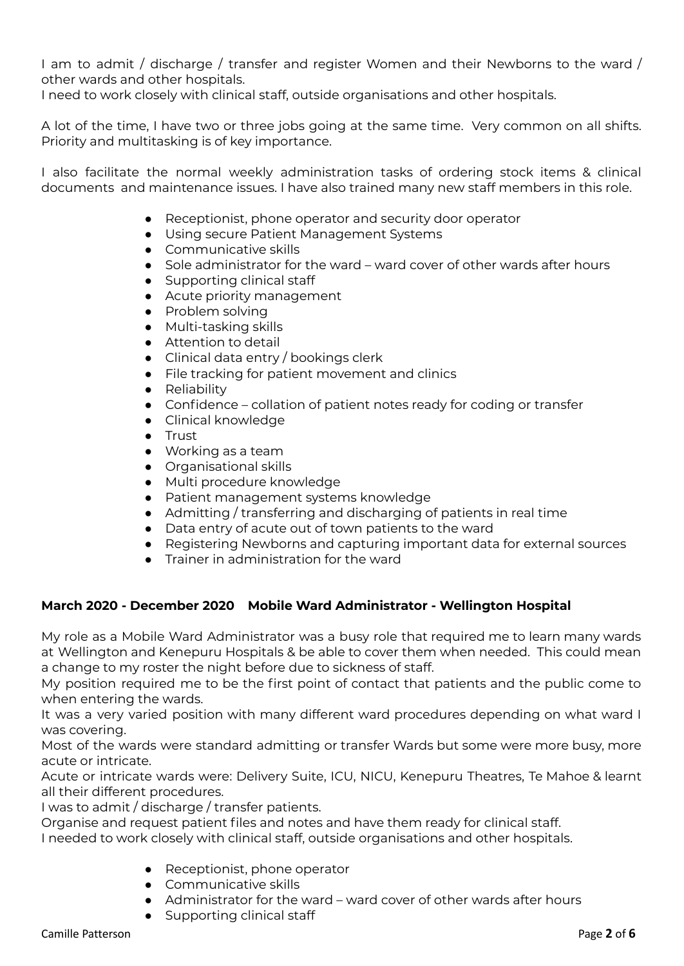I am to admit / discharge / transfer and register Women and their Newborns to the ward / other wards and other hospitals.

I need to work closely with clinical staff, outside organisations and other hospitals.

A lot of the time, I have two or three jobs going at the same time. Very common on all shifts. Priority and multitasking is of key importance.

I also facilitate the normal weekly administration tasks of ordering stock items & clinical documents and maintenance issues. I have also trained many new staff members in this role.

- Receptionist, phone operator and security door operator
- Using secure Patient Management Systems
- Communicative skills
- Sole administrator for the ward ward cover of other wards after hours
- Supporting clinical staff
- Acute priority management
- Problem solving
- Multi-tasking skills
- Attention to detail
- Clinical data entry / bookings clerk
- File tracking for patient movement and clinics
- Reliability
- Confidence collation of patient notes ready for coding or transfer
- Clinical knowledge
- Trust
- Working as a team
- Organisational skills
- Multi procedure knowledge
- Patient management systems knowledge
- Admitting / transferring and discharging of patients in real time
- Data entry of acute out of town patients to the ward
- Registering Newborns and capturing important data for external sources
- Trainer in administration for the ward

# **March 2020 - December 2020 Mobile Ward Administrator - Wellington Hospital**

My role as a Mobile Ward Administrator was a busy role that required me to learn many wards at Wellington and Kenepuru Hospitals & be able to cover them when needed. This could mean a change to my roster the night before due to sickness of staff.

My position required me to be the first point of contact that patients and the public come to when entering the wards.

It was a very varied position with many different ward procedures depending on what ward I was covering.

Most of the wards were standard admitting or transfer Wards but some were more busy, more acute or intricate.

Acute or intricate wards were: Delivery Suite, ICU, NICU, Kenepuru Theatres, Te Mahoe & learnt all their different procedures.

I was to admit / discharge / transfer patients.

Organise and request patient files and notes and have them ready for clinical staff.

I needed to work closely with clinical staff, outside organisations and other hospitals.

- Receptionist, phone operator
- Communicative skills
- Administrator for the ward ward cover of other wards after hours
- Supporting clinical staff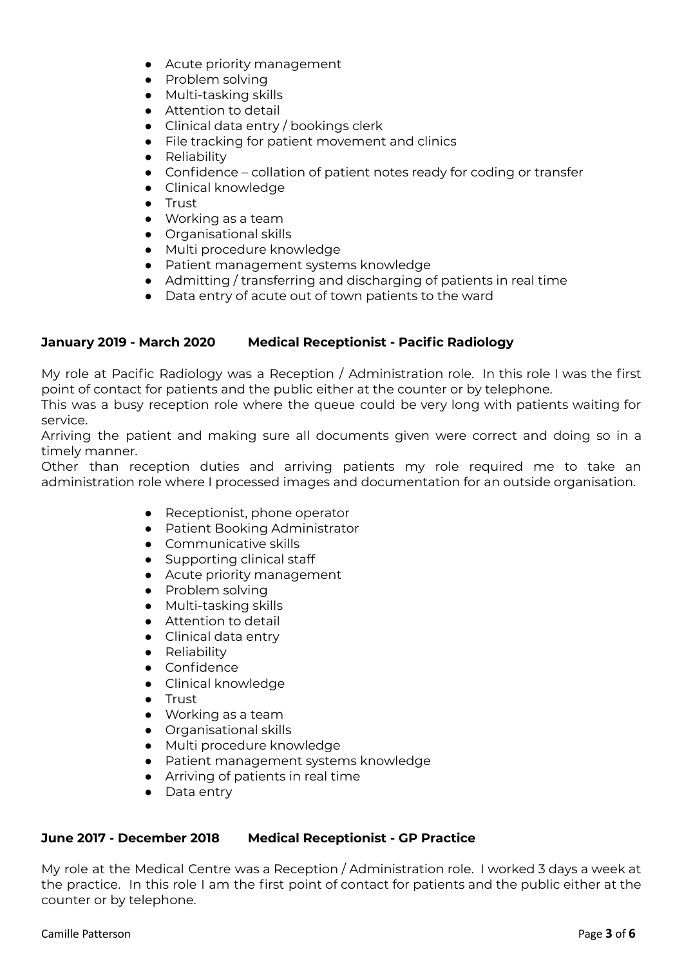- Acute priority management
- Problem solving
- Multi-tasking skills
- Attention to detail
- Clinical data entry / bookings clerk
- File tracking for patient movement and clinics
- Reliability
- Confidence collation of patient notes ready for coding or transfer
- Clinical knowledge
- Trust
- Working as a team
- Organisational skills
- Multi procedure knowledge
- Patient management systems knowledge
- Admitting / transferring and discharging of patients in real time
- Data entry of acute out of town patients to the ward

### **January 2019 - March 2020 Medical Receptionist - Pacific Radiology**

My role at Pacific Radiology was a Reception / Administration role. In this role I was the first point of contact for patients and the public either at the counter or by telephone.

This was a busy reception role where the queue could be very long with patients waiting for service.

Arriving the patient and making sure all documents given were correct and doing so in a timely manner.

Other than reception duties and arriving patients my role required me to take an administration role where I processed images and documentation for an outside organisation.

- Receptionist, phone operator
- Patient Booking Administrator
- Communicative skills
- Supporting clinical staff
- Acute priority management
- Problem solving
- Multi-tasking skills
- Attention to detail
- Clinical data entry
- Reliability
- Confidence
- Clinical knowledge
- Trust
- Working as a team
- Organisational skills
- Multi procedure knowledge
- Patient management systems knowledge
- Arriving of patients in real time
- Data entry

#### **June 2017 - December 2018 Medical Receptionist - GP Practice**

My role at the Medical Centre was a Reception / Administration role. I worked 3 days a week at the practice. In this role I am the first point of contact for patients and the public either at the counter or by telephone.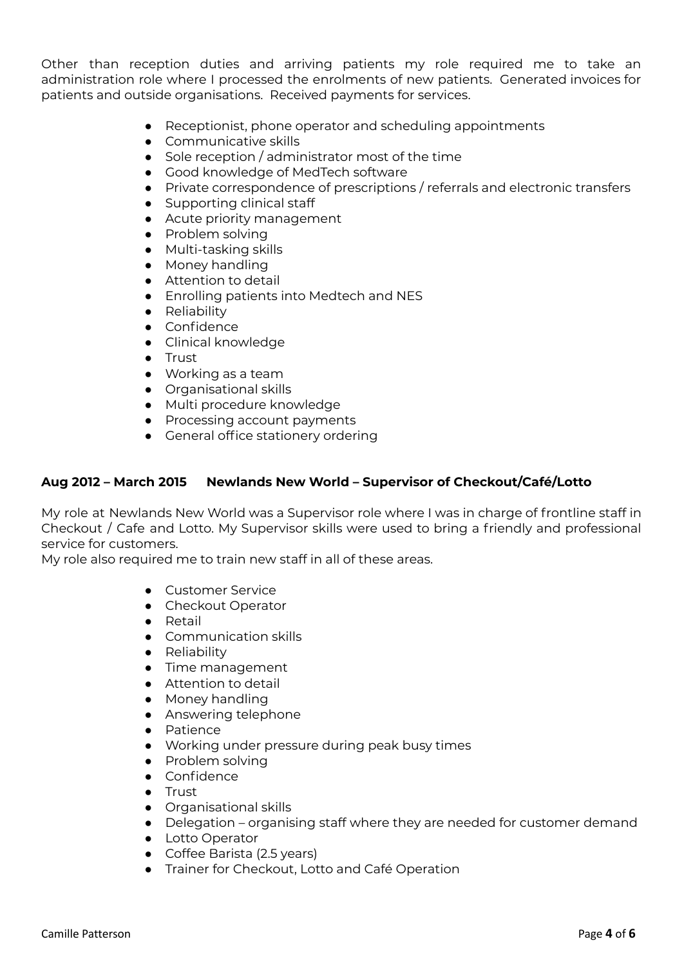Other than reception duties and arriving patients my role required me to take an administration role where I processed the enrolments of new patients. Generated invoices for patients and outside organisations. Received payments for services.

- Receptionist, phone operator and scheduling appointments
- Communicative skills
- Sole reception / administrator most of the time
- Good knowledge of MedTech software
- Private correspondence of prescriptions / referrals and electronic transfers
- Supporting clinical staff
- Acute priority management
- Problem solving
- Multi-tasking skills
- Money handling
- Attention to detail
- Enrolling patients into Medtech and NES
- Reliability
- Confidence
- Clinical knowledge
- Trust
- Working as a team
- Organisational skills
- Multi procedure knowledge
- Processing account payments
- General office stationery ordering

#### **Aug 2012 – March 2015 Newlands New World – Supervisor of Checkout/Café/Lotto**

My role at Newlands New World was a Supervisor role where I was in charge of frontline staff in Checkout / Cafe and Lotto. My Supervisor skills were used to bring a friendly and professional service for customers.

My role also required me to train new staff in all of these areas.

- Customer Service
- Checkout Operator
- Retail
- Communication skills
- Reliability
- Time management
- Attention to detail
- Money handling
- Answering telephone
- Patience
- Working under pressure during peak busy times
- Problem solving
- Confidence
- Trust
- Organisational skills
- Delegation organising staff where they are needed for customer demand
- Lotto Operator
- Coffee Barista (2.5 years)
- Trainer for Checkout, Lotto and Café Operation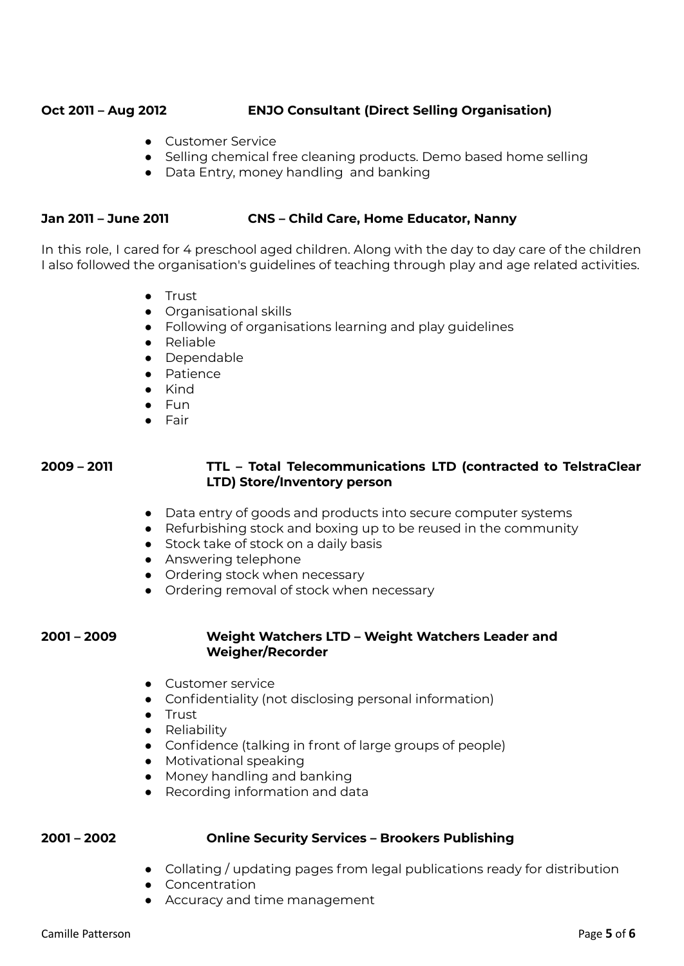### **Oct 2011 – Aug 2012 ENJO Consultant (Direct Selling Organisation)**

- Customer Service
- Selling chemical free cleaning products. Demo based home selling
- Data Entry, money handling and banking

#### **Jan 2011 – June 2011 CNS – Child Care, Home Educator, Nanny**

In this role, I cared for 4 preschool aged children. Along with the day to day care of the children I also followed the organisation's guidelines of teaching through play and age related activities.

- Trust
- Organisational skills
- Following of organisations learning and play guidelines
- Reliable
- Dependable
- Patience
- Kind
- Fun
- Fair

#### **2009 – 2011 TTL – Total Telecommunications LTD (contracted to TelstraClear LTD) Store/Inventory person**

- Data entry of goods and products into secure computer systems
- Refurbishing stock and boxing up to be reused in the community
- Stock take of stock on a daily basis
- Answering telephone
- Ordering stock when necessary
- Ordering removal of stock when necessary

#### **2001 – 2009 Weight Watchers LTD – Weight Watchers Leader and Weigher/Recorder**

- Customer service
- Confidentiality (not disclosing personal information)
- Trust
- Reliability
- Confidence (talking in front of large groups of people)
- Motivational speaking
- Money handling and banking
- Recording information and data

#### **2001 – 2002 Online Security Services – Brookers Publishing**

- Collating / updating pages from legal publications ready for distribution
- Concentration
- Accuracy and time management